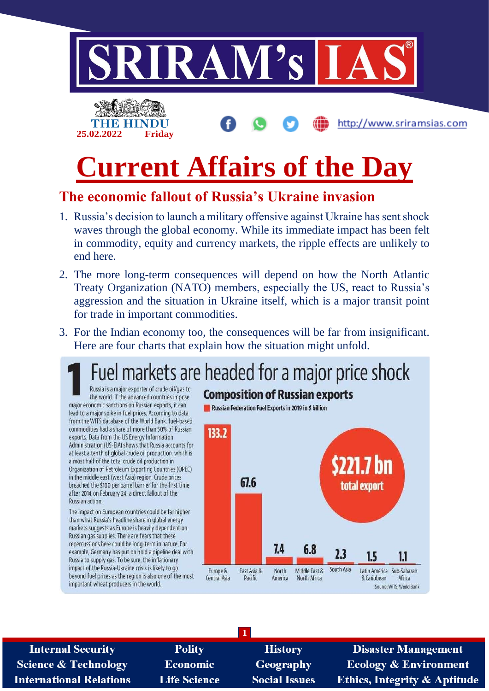

### **The economic fallout of Russia's Ukraine invasion**

- 1. Russia's decision to launch a military offensive against Ukraine has sent shock waves through the global economy. While its immediate impact has been felt in commodity, equity and currency markets, the ripple effects are unlikely to end here.
- 2. The more long-term consequences will depend on how the North Atlantic Treaty Organization (NATO) members, especially the US, react to Russia's aggression and the situation in Ukraine itself, which is a major transit point for trade in important commodities.
- 3. For the Indian economy too, the consequences will be far from insignificant. Here are four charts that explain how the situation might unfold.

### Fuel markets are headed for a major price shock

**Composition of Russian exports** 

Russia is a major exporter of crude oil/gas to the world. If the advanced countries impose major economic sanctions on Russian exports, it can lead to a major spike in fuel prices. According to data from the WITS database of the World Bank, fuel-based commodities had a share of more than 50% of Russian exports. Data from the US Energy Information Administration (US-EIA) shows that Russia accounts for at least a tenth of global crude oil production, which is almost half of the total crude oil production in Organization of Petroleum Exporting Countries (OPEC) in the middle east (west Asia) region. Crude prices breached the \$100 per barrel barrier for the first time after 2014 on February 24, a direct fallout of the **Russian action** 

The impact on European countries could be far higher than what Russia's headline share in global energy markets suggests as Europe is heavily dependent on Russian gas supplies. There are fears that these repercussions here could be long-term in nature. For example, Germany has put on hold a pipeline deal with Russia to supply gas. To be sure, the inflationary impact of the Russia-Ukraine crisis is likely to go beyond fuel prices as the region is also one of the most important wheat producers in the world.



**Internal Security Science & Technology International Relations** 

**Polity Economic Life Science** 

**History** Geography **Social Issues** 

**1**

**Disaster Management Ecology & Environment Ethics, Integrity & Aptitude**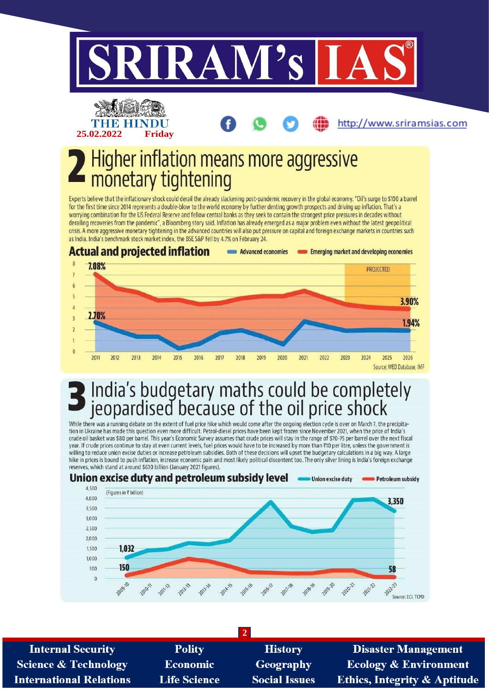

http://www.sriramsias.com





Experts believe that the inflationary shock could derail the already slackening post-pandemic recovery in the global economy. "Oil's surge to \$100 a barrel for the first time since 2014 represents a double-blow to the world economy by further denting growth prospects and driving up inflation. That's a worrying combination for the US Federal Reserve and fellow central banks as they seek to contain the strongest price pressures in decades without derailing recoveries from the pandemic", a Bloomberg story said. Inflation has already emerged as a major problem even without the latest geopolitical crisis. A more aggressive monetary tightening in the advanced countries will also put pressure on capital and foreign exchange markets in countries such as India. India's benchmark stock market index, the BSE S&P fell by 4.7% on February 24.



# India's budgetary maths could be completely<br>jeopardised because of the oil price shock

While there was a running debate on the extent of fuel price hike which would come after the ongoing election cycle is over on March 7, the precipitation in Ukraine has made this question even more difficult. Petrol-diesel prices have been kept frozen since November 2021, when the price of India's crude oil basket was \$80 per barrel. This year's Economic Survey assumes that crude prices will stay in the range of \$70-75 per barrel over the next fiscal year. If crude prices continue to stay at even current levels, fuel prices would have to be increased by more than ₹10 per litre, unless the government is willing to reduce union excise duties or increase petroleum subsidies. Both of these decisions will upset the budgetary calculations in a big way. A large hike in prices is bound to push inflation, increase economic pain and most likely political discontent too. The only silver lining is India's foreign exchange reserves, which stand at around \$630 billion (January 2021 figures).



| <b>Internal Security</b>        | <b>Polity</b>       | <b>History</b>       | <b>Disaster Management</b>              |  |
|---------------------------------|---------------------|----------------------|-----------------------------------------|--|
| <b>Science &amp; Technology</b> | <b>Economic</b>     | Geography            | <b>Ecology &amp; Environment</b>        |  |
| <b>International Relations</b>  | <b>Life Science</b> | <b>Social Issues</b> | <b>Ethics, Integrity &amp; Aptitude</b> |  |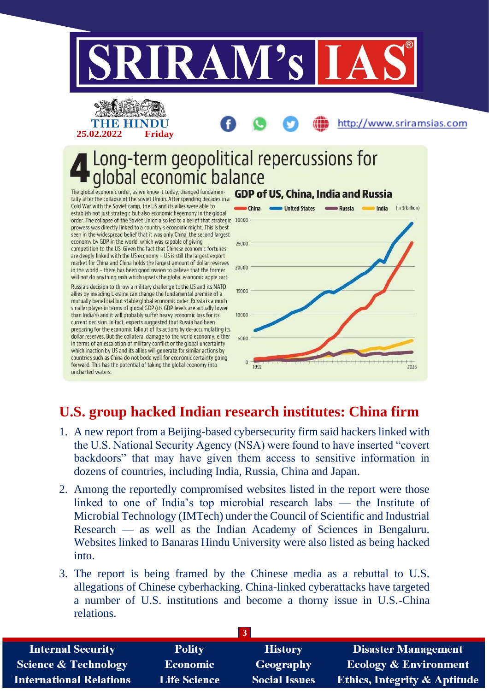

#### **U.S. group hacked Indian research institutes: China firm**

- 1. A new report from a Beijing-based cybersecurity firm said hackers linked with the U.S. National Security Agency (NSA) were found to have inserted "covert backdoors" that may have given them access to sensitive information in dozens of countries, including India, Russia, China and Japan.
- 2. Among the reportedly compromised websites listed in the report were those linked to one of India's top microbial research labs — the Institute of Microbial Technology (IMTech) under the Council of Scientific and Industrial Research — as well as the Indian Academy of Sciences in Bengaluru. Websites linked to Banaras Hindu University were also listed as being hacked into.
- 3. The report is being framed by the Chinese media as a rebuttal to U.S. allegations of Chinese cyberhacking. China-linked cyberattacks have targeted a number of U.S. institutions and become a thorny issue in U.S.-China relations.

| <b>Internal Security</b>        | <b>Polity</b>       | <b>History</b>       | <b>Disaster Management</b>              |
|---------------------------------|---------------------|----------------------|-----------------------------------------|
| <b>Science &amp; Technology</b> | Economic            | Geography            | <b>Ecology &amp; Environment</b>        |
| <b>International Relations</b>  | <b>Life Science</b> | <b>Social Issues</b> | <b>Ethics, Integrity &amp; Aptitude</b> |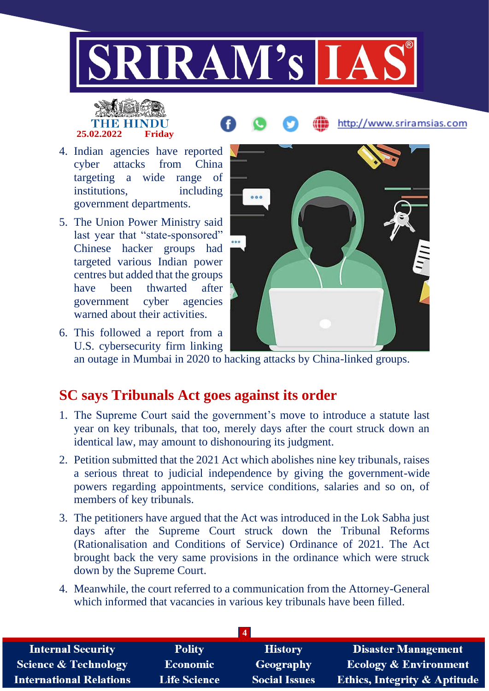

## **25.02.2022 Friday**

http://www.sriramsias.com

- 4. Indian agencies have reported cyber attacks from China targeting a wide range of institutions, including government departments.
- 5. The Union Power Ministry said last year that "state-sponsored" Chinese hacker groups had targeted various Indian power centres but added that the groups have been thwarted after government cyber agencies warned about their activities.
- 6. This followed a report from a U.S. cybersecurity firm linking



an outage in Mumbai in 2020 to hacking attacks by China-linked groups.

#### **SC says Tribunals Act goes against its order**

- 1. The Supreme Court said the government's move to introduce a statute last year on key tribunals, that too, merely days after the court struck down an identical law, may amount to dishonouring its judgment.
- 2. Petition submitted that the 2021 Act which abolishes nine key tribunals, raises a serious threat to judicial independence by giving the government-wide powers regarding appointments, service conditions, salaries and so on, of members of key tribunals.
- 3. The petitioners have argued that the Act was introduced in the Lok Sabha just days after the Supreme Court struck down the Tribunal Reforms (Rationalisation and Conditions of Service) Ordinance of 2021. The Act brought back the very same provisions in the ordinance which were struck down by the Supreme Court.
- 4. Meanwhile, the court referred to a communication from the Attorney-General which informed that vacancies in various key tribunals have been filled.

| <b>Internal Security</b>        | <b>Polity</b>       | <b>History</b>       | <b>Disaster Management</b>              |
|---------------------------------|---------------------|----------------------|-----------------------------------------|
| <b>Science &amp; Technology</b> | <b>Economic</b>     | Geography            | <b>Ecology &amp; Environment</b>        |
| <b>International Relations</b>  | <b>Life Science</b> | <b>Social Issues</b> | <b>Ethics, Integrity &amp; Aptitude</b> |